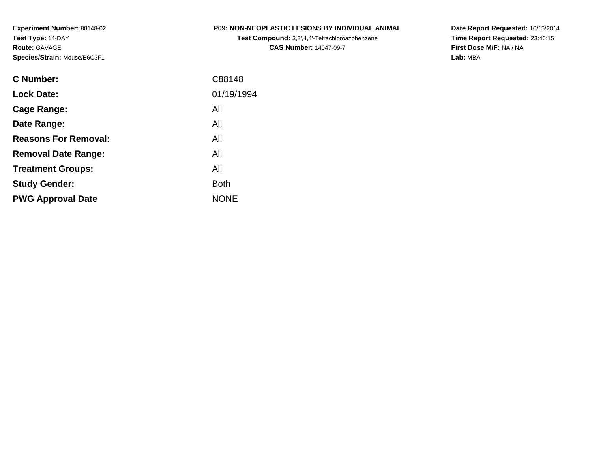| <b>P09: NON-NEOPLASTIC LESIONS BY INDIVIDUAL ANIMAL</b> |  |  |
|---------------------------------------------------------|--|--|
|                                                         |  |  |

**Test Compound:** 3,3',4,4'-Tetrachloroazobenzene**CAS Number:** 14047-09-7

**Date Report Requested:** 10/15/2014 **Time Report Requested:** 23:46:15**First Dose M/F:** NA / NA**Lab:** MBA

| <b>C</b> Number:            | C88148      |
|-----------------------------|-------------|
| <b>Lock Date:</b>           | 01/19/1994  |
| Cage Range:                 | All         |
| Date Range:                 | All         |
| <b>Reasons For Removal:</b> | All         |
| <b>Removal Date Range:</b>  | All         |
| <b>Treatment Groups:</b>    | All         |
| <b>Study Gender:</b>        | <b>Both</b> |
| <b>PWG Approval Date</b>    | <b>NONE</b> |
|                             |             |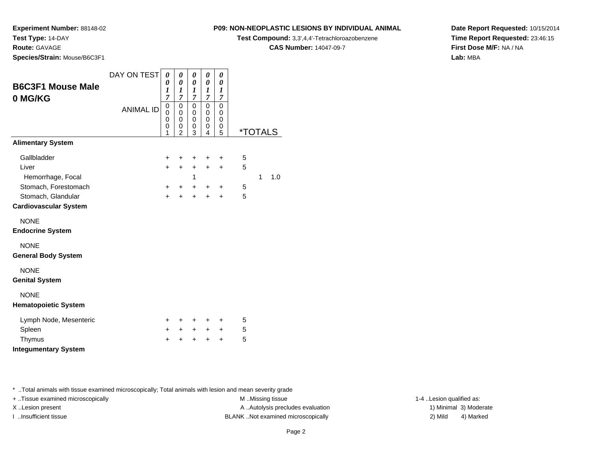**Experiment Number:** 88148-02

**Test Type:** 14-DAY

**Route:** GAVAGE

**Species/Strain:** Mouse/B6C3F1

#### **P09: NON-NEOPLASTIC LESIONS BY INDIVIDUAL ANIMAL**

**Test Compound:** 3,3',4,4'-Tetrachloroazobenzene

**CAS Number:** 14047-09-7

**Date Report Requested:** 10/15/2014**Time Report Requested:** 23:46:15**First Dose M/F:** NA / NA**Lab:** MBA

| <b>B6C3F1 Mouse Male</b><br>0 MG/KG | DAY ON TEST      | 0<br>0<br>1                             | 0<br>0<br>1                                                 | 0<br>0<br>$\boldsymbol{l}$                        | 0<br>0<br>1                        | 0<br>0<br>1                                       |   |                       |     |
|-------------------------------------|------------------|-----------------------------------------|-------------------------------------------------------------|---------------------------------------------------|------------------------------------|---------------------------------------------------|---|-----------------------|-----|
|                                     | <b>ANIMAL ID</b> | $\overline{7}$<br>0<br>0<br>0<br>0<br>1 | $\overline{7}$<br>$\mathbf 0$<br>0<br>$\mathbf 0$<br>0<br>2 | $\overline{7}$<br>0<br>0<br>$\mathbf 0$<br>0<br>3 | 7<br>0<br>0<br>$\pmb{0}$<br>0<br>4 | $\overline{7}$<br>$\mathbf 0$<br>0<br>0<br>0<br>5 |   | <i><b>*TOTALS</b></i> |     |
| <b>Alimentary System</b>            |                  |                                         |                                                             |                                                   |                                    |                                                   |   |                       |     |
| Gallbladder                         |                  | ÷                                       | ÷                                                           | +                                                 | +                                  | ÷                                                 | 5 |                       |     |
| Liver                               |                  | $\ddot{}$                               | $+$                                                         | $+$                                               | $+$                                | $\pm$                                             | 5 |                       |     |
| Hemorrhage, Focal                   |                  |                                         |                                                             | 1                                                 |                                    |                                                   |   | 1                     | 1.0 |
| Stomach, Forestomach                |                  | ٠                                       | $+$                                                         | $+$                                               | $\pm$                              | $\pm$                                             | 5 |                       |     |
| Stomach, Glandular                  |                  | $\ddot{}$                               | $\ddot{}$                                                   | $\ddot{}$                                         | $+$                                | $\ddot{}$                                         | 5 |                       |     |
| <b>Cardiovascular System</b>        |                  |                                         |                                                             |                                                   |                                    |                                                   |   |                       |     |
| <b>NONE</b>                         |                  |                                         |                                                             |                                                   |                                    |                                                   |   |                       |     |
| <b>Endocrine System</b>             |                  |                                         |                                                             |                                                   |                                    |                                                   |   |                       |     |
| <b>NONE</b>                         |                  |                                         |                                                             |                                                   |                                    |                                                   |   |                       |     |
| <b>General Body System</b>          |                  |                                         |                                                             |                                                   |                                    |                                                   |   |                       |     |
| <b>NONE</b>                         |                  |                                         |                                                             |                                                   |                                    |                                                   |   |                       |     |
| <b>Genital System</b>               |                  |                                         |                                                             |                                                   |                                    |                                                   |   |                       |     |
| <b>NONE</b>                         |                  |                                         |                                                             |                                                   |                                    |                                                   |   |                       |     |
| <b>Hematopoietic System</b>         |                  |                                         |                                                             |                                                   |                                    |                                                   |   |                       |     |
| Lymph Node, Mesenteric              |                  | +                                       | ٠                                                           | +                                                 | +                                  | ٠                                                 | 5 |                       |     |
| Spleen                              |                  | $\pm$                                   | $\pm$                                                       | $\pm$                                             | $+$                                | $\pm$                                             | 5 |                       |     |
| Thymus                              |                  | +                                       | +                                                           | +                                                 | +                                  | +                                                 | 5 |                       |     |
| <b>Integumentary System</b>         |                  |                                         |                                                             |                                                   |                                    |                                                   |   |                       |     |

\* ..Total animals with tissue examined microscopically; Total animals with lesion and mean severity grade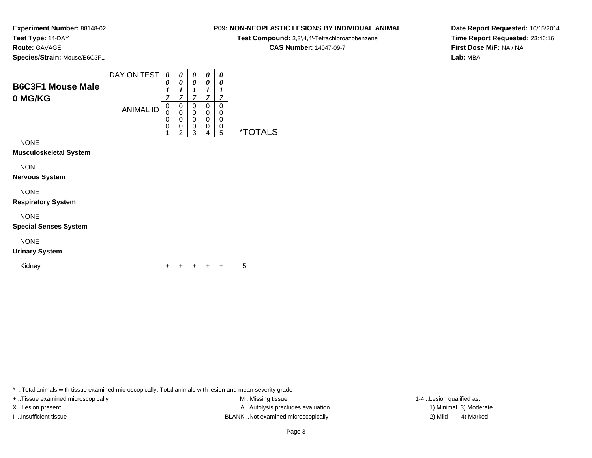**Experiment Number:** 88148-02**Test Type:** 14-DAY**Route:** GAVAGE

**Species/Strain:** Mouse/B6C3F1

| <b>B6C3F1 Mouse Male</b> | DAY ON TEST      | 0<br>$\overline{ }$ | 0<br>7                | 0<br>~                | U<br>0<br>~      | 0<br>0<br>7           |    |
|--------------------------|------------------|---------------------|-----------------------|-----------------------|------------------|-----------------------|----|
| 0 MG/KG                  | <b>ANIMAL ID</b> | 0<br>0<br>0<br>0    | 0<br>0<br>0<br>0<br>◠ | υ<br>0<br>0<br>0<br>ົ | U<br>0<br>0<br>0 | 0<br>0<br>0<br>0<br>5 | ×. |

NONE

**Musculoskeletal System**

NONE

**Nervous System**

NONE

**Respiratory System**

NONE

**Special Senses System**

NONE

**Urinary System**

Kidney

 $\mathsf y$ <sup>+</sup> <sup>+</sup> <sup>+</sup> + 5

\* ..Total animals with tissue examined microscopically; Total animals with lesion and mean severity grade

+ ..Tissue examined microscopically examined microscopically examined as:  $M$  ..Missing tissue 1-4 ..Lesion qualified as: X..Lesion present **A ..Autolysis precludes evaluation** A ..Autolysis precludes evaluation 1) Minimal 3) Moderate I ..Insufficient tissue BLANK ..Not examined microscopically 2) Mild 4) Marked

## Page 3

**Date Report Requested:** 10/15/2014**Time Report Requested:** 23:46:16**First Dose M/F:** NA / NA**Lab:** MBA

# **P09: NON-NEOPLASTIC LESIONS BY INDIVIDUAL ANIMAL**

**Test Compound:** 3,3',4,4'-Tetrachloroazobenzene

**CAS Number:** 14047-09-7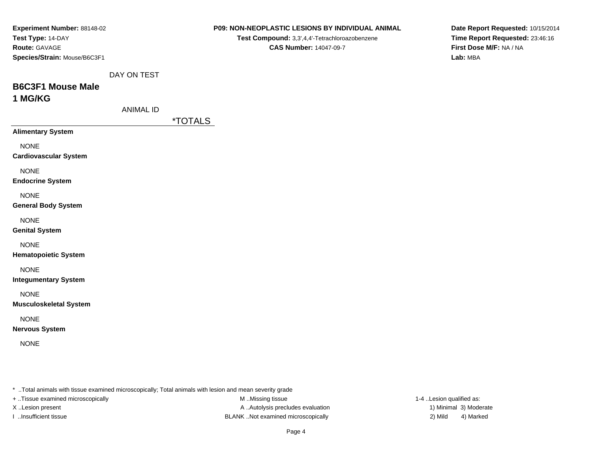| Experiment Number: 88148-02       |                  | P09: NON-NEOPLASTIC LESIONS BY INDIVIDUAL ANIMAL                                                        | Date Report Requested: 10/15/2014   |
|-----------------------------------|------------------|---------------------------------------------------------------------------------------------------------|-------------------------------------|
| Test Type: 14-DAY                 |                  | Test Compound: 3,3',4,4'-Tetrachloroazobenzene                                                          | Time Report Requested: 23:46:16     |
| Route: GAVAGE                     |                  | <b>CAS Number: 14047-09-7</b>                                                                           | First Dose M/F: NA / NA<br>Lab: MBA |
| Species/Strain: Mouse/B6C3F1      |                  |                                                                                                         |                                     |
|                                   | DAY ON TEST      |                                                                                                         |                                     |
| <b>B6C3F1 Mouse Male</b>          |                  |                                                                                                         |                                     |
| 1 MG/KG                           |                  |                                                                                                         |                                     |
|                                   | <b>ANIMAL ID</b> |                                                                                                         |                                     |
|                                   |                  | <i><b>*TOTALS</b></i>                                                                                   |                                     |
| <b>Alimentary System</b>          |                  |                                                                                                         |                                     |
| <b>NONE</b>                       |                  |                                                                                                         |                                     |
| <b>Cardiovascular System</b>      |                  |                                                                                                         |                                     |
| <b>NONE</b>                       |                  |                                                                                                         |                                     |
| <b>Endocrine System</b>           |                  |                                                                                                         |                                     |
| <b>NONE</b>                       |                  |                                                                                                         |                                     |
| <b>General Body System</b>        |                  |                                                                                                         |                                     |
| <b>NONE</b>                       |                  |                                                                                                         |                                     |
| <b>Genital System</b>             |                  |                                                                                                         |                                     |
| <b>NONE</b>                       |                  |                                                                                                         |                                     |
| <b>Hematopoietic System</b>       |                  |                                                                                                         |                                     |
| <b>NONE</b>                       |                  |                                                                                                         |                                     |
| <b>Integumentary System</b>       |                  |                                                                                                         |                                     |
| <b>NONE</b>                       |                  |                                                                                                         |                                     |
| <b>Musculoskeletal System</b>     |                  |                                                                                                         |                                     |
| <b>NONE</b>                       |                  |                                                                                                         |                                     |
| <b>Nervous System</b>             |                  |                                                                                                         |                                     |
|                                   |                  |                                                                                                         |                                     |
| <b>NONE</b>                       |                  |                                                                                                         |                                     |
|                                   |                  |                                                                                                         |                                     |
|                                   |                  |                                                                                                         |                                     |
|                                   |                  | * Total animals with tissue examined microscopically; Total animals with lesion and mean severity grade |                                     |
| + Tissue examined microscopically |                  | M Missing tissue                                                                                        | 1-4 Lesion qualified as:            |

X..Lesion present **A ..Autolysis precludes evaluation** A ..Autolysis precludes evaluation 1) Minimal 3) Moderate I ..Insufficient tissue BLANK ..Not examined microscopically 2) Mild 4) Marked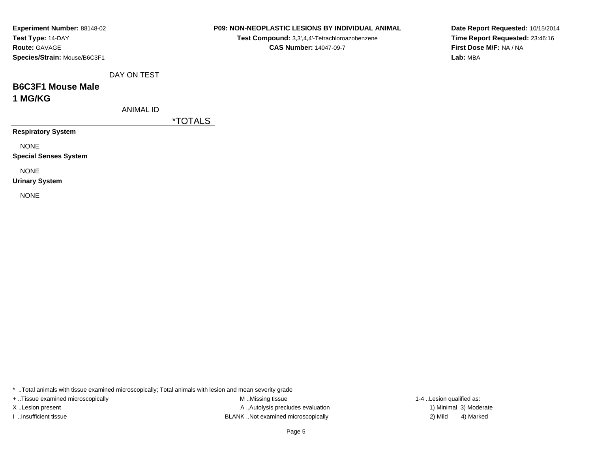| <b>Experiment Number: 88148-02</b> |
|------------------------------------|
| Test Type: 14-DAY                  |
| <b>Route: GAVAGE</b>               |
| Species/Strain: Mouse/B6C3F1       |

**Test Compound:** 3,3',4,4'-Tetrachloroazobenzene**CAS Number:** 14047-09-7

**Date Report Requested:** 10/15/2014**Time Report Requested:** 23:46:16**First Dose M/F:** NA / NA**Lab:** MBA

DAY ON TEST

### **B6C3F1 Mouse Male1 MG/KG**

ANIMAL ID

\*TOTALS

**Respiratory System**

NONE

**Special Senses System**

NONE

**Urinary System**

NONE

\* ..Total animals with tissue examined microscopically; Total animals with lesion and mean severity grade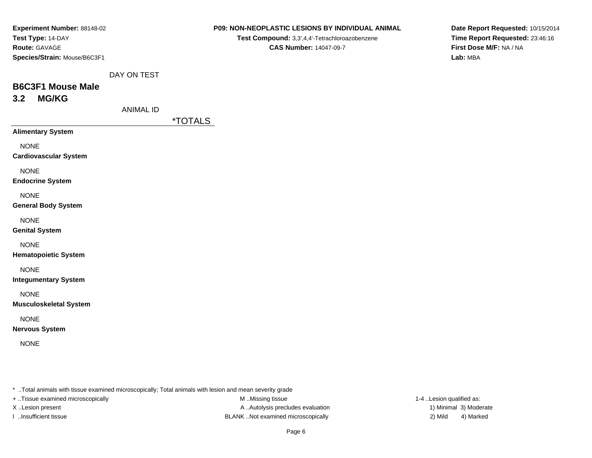| Experiment Number: 88148-02  |
|------------------------------|
| Test Type: 14-DAY            |
| <b>Route: GAVAGE</b>         |
| Species/Strain: Mouse/B6C3F1 |

**Test Compound:** 3,3',4,4'-Tetrachloroazobenzene**CAS Number:** 14047-09-7

**Date Report Requested:** 10/15/2014**Time Report Requested:** 23:46:16**First Dose M/F:** NA / NA**Lab:** MBA

DAY ON TEST

# **B6C3F1 Mouse Male3.2 MG/KG**

ANIMAL ID

\*TOTALS

**Alimentary System**

NONE

**Cardiovascular System**

NONE

**Endocrine System**

NONE

#### **General Body System**

NONE

**Genital System**

NONE

**Hematopoietic System**

NONE

**Integumentary System**

NONE

**Musculoskeletal System**

NONE

**Nervous System**

NONE

\* ..Total animals with tissue examined microscopically; Total animals with lesion and mean severity grade

+ ..Tissue examined microscopically examined microscopically examined as:  $M$  ..Missing tissue 1-4 ..Lesion qualified as:

X..Lesion present **A ..Autolysis precludes evaluation** A ..Autolysis precludes evaluation 1) Minimal 3) Moderate I ..Insufficient tissue BLANK ..Not examined microscopically 2) Mild 4) Marked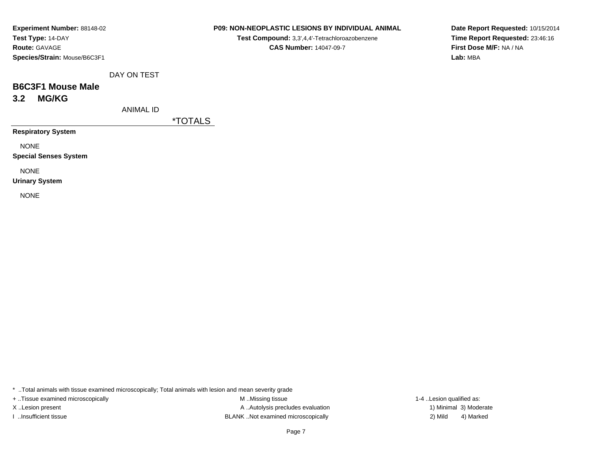#### **P09: NON-NEOPLASTIC LESIONS BY INDIVIDUAL ANIMAL**

**Test Compound:** 3,3',4,4'-Tetrachloroazobenzene**CAS Number:** 14047-09-7

**Date Report Requested:** 10/15/2014**Time Report Requested:** 23:46:16**First Dose M/F:** NA / NA**Lab:** MBA

DAY ON TEST

# **B6C3F1 Mouse Male3.2 MG/KG**

ANIMAL ID

\*TOTALS

**Respiratory System**

NONE

**Special Senses System**

NONE

**Urinary System**

NONE

\* ..Total animals with tissue examined microscopically; Total animals with lesion and mean severity grade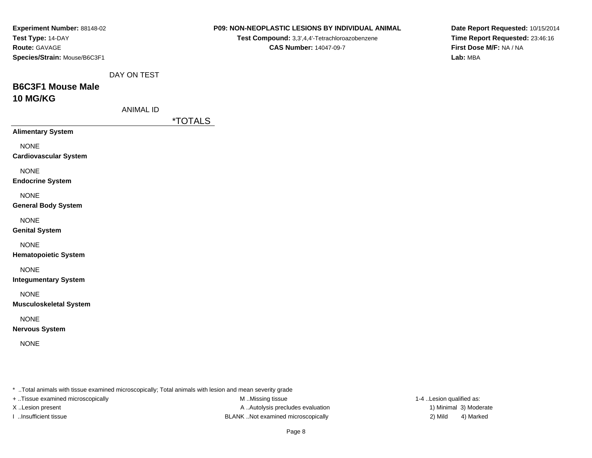| Experiment Number: 88148-02       |                  | P09: NON-NEOPLASTIC LESIONS BY INDIVIDUAL ANIMAL                                                        | Date Report Requested: 10/15/2014 |
|-----------------------------------|------------------|---------------------------------------------------------------------------------------------------------|-----------------------------------|
| Test Type: 14-DAY                 |                  | Test Compound: 3,3',4,4'-Tetrachloroazobenzene                                                          | Time Report Requested: 23:46:16   |
| Route: GAVAGE                     |                  | <b>CAS Number: 14047-09-7</b>                                                                           | First Dose M/F: NA / NA           |
| Species/Strain: Mouse/B6C3F1      |                  |                                                                                                         | Lab: MBA                          |
|                                   | DAY ON TEST      |                                                                                                         |                                   |
| <b>B6C3F1 Mouse Male</b>          |                  |                                                                                                         |                                   |
| 10 MG/KG                          |                  |                                                                                                         |                                   |
|                                   | <b>ANIMAL ID</b> |                                                                                                         |                                   |
|                                   |                  | <i><b>*TOTALS</b></i>                                                                                   |                                   |
| <b>Alimentary System</b>          |                  |                                                                                                         |                                   |
| <b>NONE</b>                       |                  |                                                                                                         |                                   |
| <b>Cardiovascular System</b>      |                  |                                                                                                         |                                   |
| <b>NONE</b>                       |                  |                                                                                                         |                                   |
| <b>Endocrine System</b>           |                  |                                                                                                         |                                   |
| <b>NONE</b>                       |                  |                                                                                                         |                                   |
| <b>General Body System</b>        |                  |                                                                                                         |                                   |
| <b>NONE</b>                       |                  |                                                                                                         |                                   |
| <b>Genital System</b>             |                  |                                                                                                         |                                   |
| <b>NONE</b>                       |                  |                                                                                                         |                                   |
| <b>Hematopoietic System</b>       |                  |                                                                                                         |                                   |
| <b>NONE</b>                       |                  |                                                                                                         |                                   |
| <b>Integumentary System</b>       |                  |                                                                                                         |                                   |
| <b>NONE</b>                       |                  |                                                                                                         |                                   |
| <b>Musculoskeletal System</b>     |                  |                                                                                                         |                                   |
| <b>NONE</b>                       |                  |                                                                                                         |                                   |
| <b>Nervous System</b>             |                  |                                                                                                         |                                   |
|                                   |                  |                                                                                                         |                                   |
| <b>NONE</b>                       |                  |                                                                                                         |                                   |
|                                   |                  |                                                                                                         |                                   |
|                                   |                  |                                                                                                         |                                   |
|                                   |                  | * Total animals with tissue examined microscopically; Total animals with lesion and mean severity grade |                                   |
| + Tissue examined microscopically |                  | M Missing tissue                                                                                        | 1-4 Lesion qualified as:          |

X..Lesion present **A ..Autolysis precludes evaluation** A ..Autolysis precludes evaluation 1) Minimal 3) Moderate I ..Insufficient tissue BLANK ..Not examined microscopically 2) Mild 4) Marked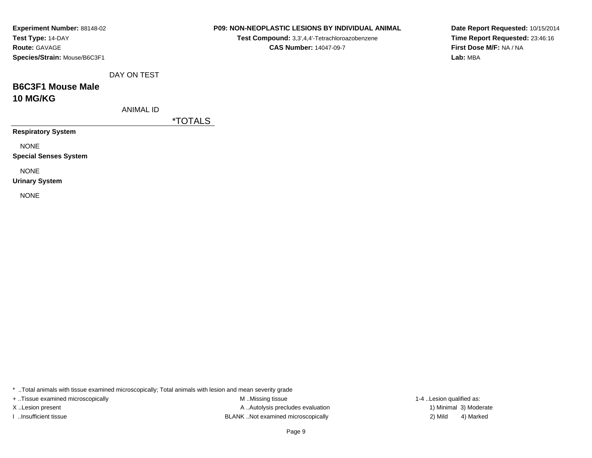| <b>Experiment Number: 88148-02</b> |
|------------------------------------|
| Test Type: 14-DAY                  |
| <b>Route: GAVAGE</b>               |
| Species/Strain: Mouse/B6C3F1       |

**Test Compound:** 3,3',4,4'-Tetrachloroazobenzene**CAS Number:** 14047-09-7

**Date Report Requested:** 10/15/2014**Time Report Requested:** 23:46:16**First Dose M/F:** NA / NA**Lab:** MBA

DAY ON TEST

### **B6C3F1 Mouse Male10 MG/KG**

ANIMAL ID

\*TOTALS

**Respiratory System**

NONE

**Special Senses System**

NONE

**Urinary System**

NONE

\* ..Total animals with tissue examined microscopically; Total animals with lesion and mean severity grade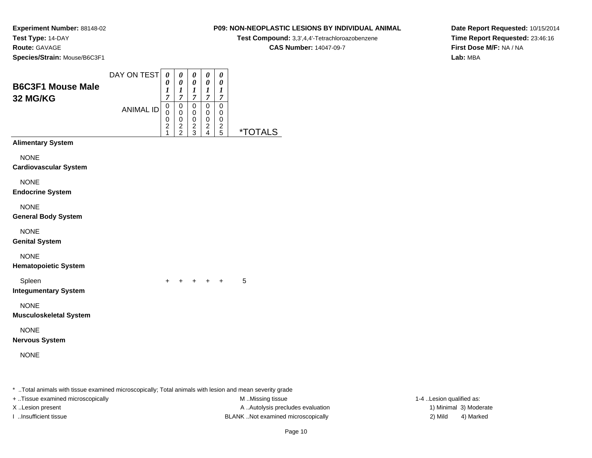#### **P09: NON-NEOPLASTIC LESIONS BY INDIVIDUAL ANIMAL**

**Test Compound:** 3,3',4,4'-Tetrachloroazobenzene

**CAS Number:** 14047-09-7

**Date Report Requested:** 10/15/2014**Time Report Requested:** 23:46:16**First Dose M/F:** NA / NA**Lab:** MBA

| <b>B6C3F1 Mouse Male</b><br><b>32 MG/KG</b> | DAY ON TEST      | 0<br>0<br>$\boldsymbol{l}$<br>$\overline{7}$                                      | 0<br>$\boldsymbol{\theta}$<br>$\boldsymbol{l}$<br>$\boldsymbol{7}$ | 0<br>$\pmb{\theta}$<br>$\boldsymbol{l}$<br>$\overline{7}$ | 0<br>0<br>$\boldsymbol{I}$<br>$\overline{7}$   | 0<br>$\boldsymbol{\theta}$<br>$\boldsymbol{l}$<br>$\boldsymbol{7}$ |                       |
|---------------------------------------------|------------------|-----------------------------------------------------------------------------------|--------------------------------------------------------------------|-----------------------------------------------------------|------------------------------------------------|--------------------------------------------------------------------|-----------------------|
|                                             | <b>ANIMAL ID</b> | $\mathsf 0$<br>$\mathbf 0$<br>$\begin{smallmatrix} 0 \\ 2 \end{smallmatrix}$<br>1 | $\mbox{O}$<br>$\pmb{0}$<br>$\pmb{0}$<br>$\frac{2}{2}$              | 0<br>$\pmb{0}$<br>$\mathbf 0$<br>$\frac{2}{3}$            | $\mathbf 0$<br>0<br>$\pmb{0}$<br>$\frac{2}{4}$ | $\pmb{0}$<br>$\pmb{0}$<br>$\,0\,$<br>$\frac{2}{5}$                 | <i><b>*TOTALS</b></i> |
| <b>Alimentary System</b>                    |                  |                                                                                   |                                                                    |                                                           |                                                |                                                                    |                       |
| <b>NONE</b><br><b>Cardiovascular System</b> |                  |                                                                                   |                                                                    |                                                           |                                                |                                                                    |                       |
| <b>NONE</b><br><b>Endocrine System</b>      |                  |                                                                                   |                                                                    |                                                           |                                                |                                                                    |                       |
| <b>NONE</b><br>General Body System          |                  |                                                                                   |                                                                    |                                                           |                                                |                                                                    |                       |
| <b>NONE</b><br><b>Genital System</b>        |                  |                                                                                   |                                                                    |                                                           |                                                |                                                                    |                       |
| <b>NONE</b><br><b>Hematopoietic System</b>  |                  |                                                                                   |                                                                    |                                                           |                                                |                                                                    |                       |
| Spleen<br><b>Integumentary System</b>       |                  | +                                                                                 | $\ddot{}$                                                          |                                                           | $+$ $+$                                        | $\ddot{}$                                                          | 5                     |
| <b>NONE</b><br>Musculoskeletal System       |                  |                                                                                   |                                                                    |                                                           |                                                |                                                                    |                       |
| <b>NONE</b><br>Nervous System               |                  |                                                                                   |                                                                    |                                                           |                                                |                                                                    |                       |
| <b>NONE</b>                                 |                  |                                                                                   |                                                                    |                                                           |                                                |                                                                    |                       |
|                                             |                  |                                                                                   |                                                                    |                                                           |                                                |                                                                    |                       |

\* ..Total animals with tissue examined microscopically; Total animals with lesion and mean severity grade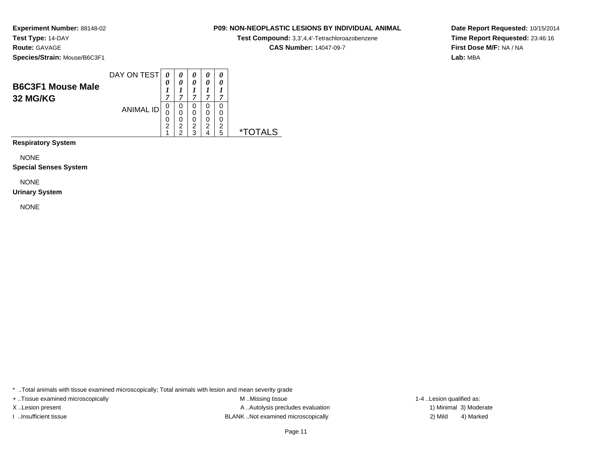#### **P09: NON-NEOPLASTIC LESIONS BY INDIVIDUAL ANIMAL**

**Test Compound:** 3,3',4,4'-Tetrachloroazobenzene

**CAS Number:** 14047-09-7

**Date Report Requested:** 10/15/2014**Time Report Requested:** 23:46:16**First Dose M/F:** NA / NA**Lab:** MBA

|                                      | DAY ON TEST      |                            | 0           | 0           |             | 0           |    |
|--------------------------------------|------------------|----------------------------|-------------|-------------|-------------|-------------|----|
| <b>B6C3F1 Mouse Male</b><br>32 MG/KG |                  | $\boldsymbol{\theta}$<br>~ | 0<br>7      | 0<br>~      | 7           | 0<br>7      |    |
|                                      | <b>ANIMAL ID</b> | O<br>U<br>U                | 0<br>0<br>0 | 0<br>0<br>0 | 0<br>0<br>0 | 0<br>0<br>0 |    |
|                                      |                  | າ                          | 2<br>◠      | 2<br>◠      | 2           | っ<br>5      | ×. |

**Respiratory System**

NONE

**Special Senses System**

NONE

#### **Urinary System**

NONE

\* ..Total animals with tissue examined microscopically; Total animals with lesion and mean severity grade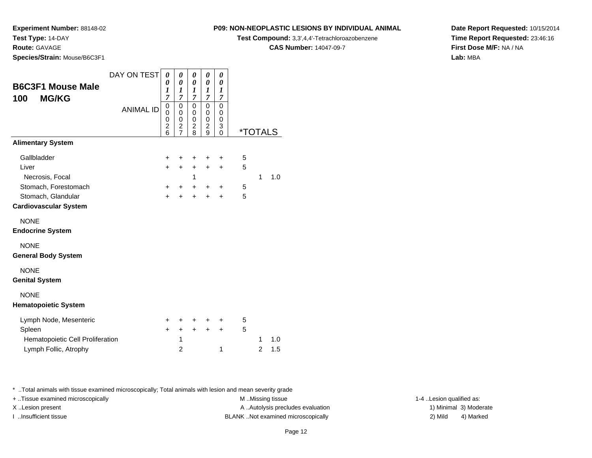**Route:** GAVAGE

**Species/Strain:** Mouse/B6C3F1

### **P09: NON-NEOPLASTIC LESIONS BY INDIVIDUAL ANIMAL**

**Test Compound:** 3,3',4,4'-Tetrachloroazobenzene

**CAS Number:** 14047-09-7

**Date Report Requested:** 10/15/2014**Time Report Requested:** 23:46:16**First Dose M/F:** NA / NA**Lab:** MBA

| <b>B6C3F1 Mouse Male</b><br><b>MG/KG</b><br>100 | DAY ON TEST      | 0<br>0<br>1<br>$\overline{7}$ | 0<br>0<br>$\boldsymbol{l}$<br>7<br>0                | 0<br>$\boldsymbol{\theta}$<br>$\boldsymbol{l}$<br>7<br>0 | 0<br>$\boldsymbol{\theta}$<br>1<br>$\overline{7}$<br>$\mathbf 0$ | 0<br>0<br>$\boldsymbol{l}$<br>$\overline{7}$<br>$\mathbf 0$ |                       |                |     |
|-------------------------------------------------|------------------|-------------------------------|-----------------------------------------------------|----------------------------------------------------------|------------------------------------------------------------------|-------------------------------------------------------------|-----------------------|----------------|-----|
|                                                 | <b>ANIMAL ID</b> | 0<br>0<br>0<br>2<br>6         | 0<br>0<br>$\overline{\mathbf{c}}$<br>$\overline{7}$ | $\mathbf 0$<br>$\mathbf 0$<br>$\overline{c}$<br>8        | $\mathbf 0$<br>0<br>$\overline{c}$<br>9                          | $\mathbf 0$<br>0<br>3<br>$\mathbf{0}$                       | <i><b>*TOTALS</b></i> |                |     |
| <b>Alimentary System</b>                        |                  |                               |                                                     |                                                          |                                                                  |                                                             |                       |                |     |
| Gallbladder                                     |                  | +                             | ٠                                                   | +                                                        | $\ddot{}$                                                        | $\ddot{}$                                                   | 5                     |                |     |
| Liver                                           |                  | $+$                           | $\ddot{}$                                           | $\ddot{}$                                                | $\ddot{}$                                                        | $\ddot{}$                                                   | 5                     |                |     |
| Necrosis, Focal                                 |                  |                               |                                                     | 1                                                        |                                                                  |                                                             |                       | 1              | 1.0 |
| Stomach, Forestomach<br>Stomach, Glandular      |                  | $\ddot{}$<br>$\ddot{}$        | $\ddot{}$<br>$\ddot{}$                              | $\pm$<br>$\ddot{}$                                       | $\pm$<br>$\ddot{}$                                               | $\ddot{}$<br>$\ddot{}$                                      | 5<br>5                |                |     |
| <b>Cardiovascular System</b>                    |                  |                               |                                                     |                                                          |                                                                  |                                                             |                       |                |     |
| <b>NONE</b><br><b>Endocrine System</b>          |                  |                               |                                                     |                                                          |                                                                  |                                                             |                       |                |     |
| <b>NONE</b><br><b>General Body System</b>       |                  |                               |                                                     |                                                          |                                                                  |                                                             |                       |                |     |
| <b>NONE</b><br><b>Genital System</b>            |                  |                               |                                                     |                                                          |                                                                  |                                                             |                       |                |     |
| <b>NONE</b><br><b>Hematopoietic System</b>      |                  |                               |                                                     |                                                          |                                                                  |                                                             |                       |                |     |
| Lymph Node, Mesenteric                          |                  | $\pm$                         | ٠                                                   | $\ddot{}$                                                | ٠                                                                | ÷                                                           | 5                     |                |     |
| Spleen                                          |                  | $\ddot{}$                     | $\ddot{}$                                           | $\ddot{}$                                                | $\ddot{}$                                                        | $\ddot{}$                                                   | 5                     |                |     |
| Hematopoietic Cell Proliferation                |                  |                               | 1                                                   |                                                          |                                                                  |                                                             |                       | 1              | 1.0 |
| Lymph Follic, Atrophy                           |                  |                               | $\overline{2}$                                      |                                                          |                                                                  | 1                                                           |                       | $\overline{c}$ | 1.5 |

\* ..Total animals with tissue examined microscopically; Total animals with lesion and mean severity grade

+ ..Tissue examined microscopically examined microscopically examined as:  $M$  ..Missing tissue 1-4 ..Lesion qualified as: X..Lesion present **A ..Autolysis precludes evaluation** A ..Autolysis precludes evaluation 1) Minimal 3) Moderate I ..Insufficient tissue 2) Mild and the BLANK ..Not examined microscopically and the same 2) Mild

4) Marked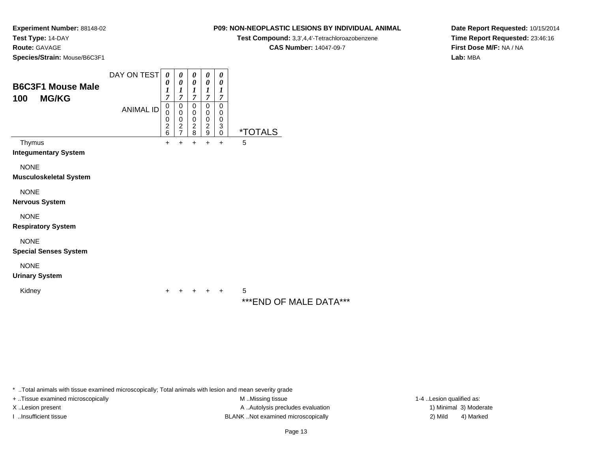**Route:** GAVAGE

**Species/Strain:** Mouse/B6C3F1

#### DAY ON TEST**B6C3F1 Mouse Male100 MG/KG**ANIMAL ID*0 0 1 7* 0 0 0 2 6 $+$ *0 0 1 7*0<br>0<br>0<br>2<br>7  $+$ *0 0 1 7* 0 0 0 2 8 $\ddot{}$ *0 0 1 7* 0 0 0 2 9 $\ddot{}$ *0 0 1 7* 0 0 0 3 0 \*TOTALSThymus <sup>+</sup> <sup>+</sup> <sup>+</sup> <sup>+</sup> + 5 **Integumentary System**NONE **Musculoskeletal System**NONE **Nervous System**NONE **Respiratory System**NONE **Special Senses System**NONE **Urinary System**Kidney $\mathsf y$  <sup>+</sup> <sup>+</sup> <sup>+</sup> + 5 \*\*\*END OF MALE DATA\*\*\*

\* ..Total animals with tissue examined microscopically; Total animals with lesion and mean severity grade

+ ..Tissue examined microscopically examined microscopically examined as: M ..Missing tissue 1-4 ..Lesion qualified as: X..Lesion present **A ..**Autolysis precludes evaluation A ..Autolysis precludes evaluation 1) Minimal 3) Moderate I ..Insufficient tissue BLANK ..Not examined microscopically 2) Mild 4) Marked

**Date Report Requested:** 10/15/2014**Time Report Requested:** 23:46:16**First Dose M/F:** NA / NA**Lab:** MBA

#### **P09: NON-NEOPLASTIC LESIONS BY INDIVIDUAL ANIMAL**

**Test Compound:** 3,3',4,4'-Tetrachloroazobenzene

**CAS Number:** 14047-09-7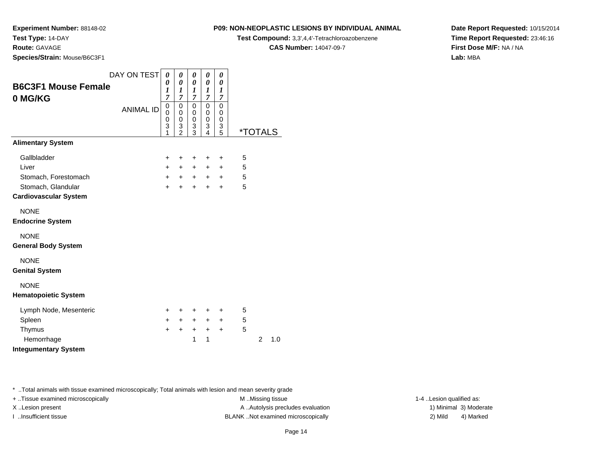#### **Route:** GAVAGE

**Species/Strain:** Mouse/B6C3F1

### **P09: NON-NEOPLASTIC LESIONS BY INDIVIDUAL ANIMAL**

**Test Compound:** 3,3',4,4'-Tetrachloroazobenzene

**CAS Number:** 14047-09-7

**Date Report Requested:** 10/15/2014**Time Report Requested:** 23:46:16**First Dose M/F:** NA / NA**Lab:** MBA

|                              | DAY ON TEST      | 0         | 0                   | 0              | 0              | 0              |                       |                |     |
|------------------------------|------------------|-----------|---------------------|----------------|----------------|----------------|-----------------------|----------------|-----|
| <b>B6C3F1 Mouse Female</b>   |                  | 0<br>1    | 0<br>1              | 0<br>1         | 0<br>1         | 0<br>1         |                       |                |     |
| 0 MG/KG                      |                  | 7         | $\overline{7}$      | $\overline{7}$ | $\overline{7}$ | $\overline{7}$ |                       |                |     |
|                              | <b>ANIMAL ID</b> | 0<br>0    | $\mathbf 0$<br>0    | 0<br>0         | 0<br>0         | 0<br>0         |                       |                |     |
|                              |                  | 0         | $\mathbf 0$         | 0              | 0              | $\mathbf 0$    |                       |                |     |
|                              |                  | 3<br>1    | 3<br>$\overline{2}$ | 3<br>3         | 3<br>4         | 3<br>5         | <i><b>*TOTALS</b></i> |                |     |
| <b>Alimentary System</b>     |                  |           |                     |                |                |                |                       |                |     |
| Gallbladder                  |                  | $\ddot{}$ | +                   | +              | $\ddot{}$      | +              | 5                     |                |     |
| Liver                        |                  | $+$       | $+$                 | $+$            | $\ddot{}$      | $\ddot{}$      | 5                     |                |     |
| Stomach, Forestomach         |                  | $+$       | $+$                 | $+$            | $+$            | $+$            | 5                     |                |     |
| Stomach, Glandular           |                  | $\ddot{}$ | $+$                 | $+$            | $+$            | $\div$         | 5                     |                |     |
| <b>Cardiovascular System</b> |                  |           |                     |                |                |                |                       |                |     |
| <b>NONE</b>                  |                  |           |                     |                |                |                |                       |                |     |
| <b>Endocrine System</b>      |                  |           |                     |                |                |                |                       |                |     |
| <b>NONE</b>                  |                  |           |                     |                |                |                |                       |                |     |
| <b>General Body System</b>   |                  |           |                     |                |                |                |                       |                |     |
| <b>NONE</b>                  |                  |           |                     |                |                |                |                       |                |     |
| <b>Genital System</b>        |                  |           |                     |                |                |                |                       |                |     |
| <b>NONE</b>                  |                  |           |                     |                |                |                |                       |                |     |
| <b>Hematopoietic System</b>  |                  |           |                     |                |                |                |                       |                |     |
| Lymph Node, Mesenteric       |                  | ÷.        | ÷                   | ÷              | +              | ÷              | 5                     |                |     |
| Spleen                       |                  | $+$       | $+$                 | $+$            | $+$            | $\ddot{}$      | 5                     |                |     |
| Thymus                       |                  | $\pm$     | +                   | $+$            | $\ddot{}$      | $\ddot{}$      | 5                     |                |     |
| Hemorrhage                   |                  |           |                     | 1              | 1              |                |                       | $\overline{2}$ | 1.0 |
| <b>Integumentary System</b>  |                  |           |                     |                |                |                |                       |                |     |

\* ..Total animals with tissue examined microscopically; Total animals with lesion and mean severity grade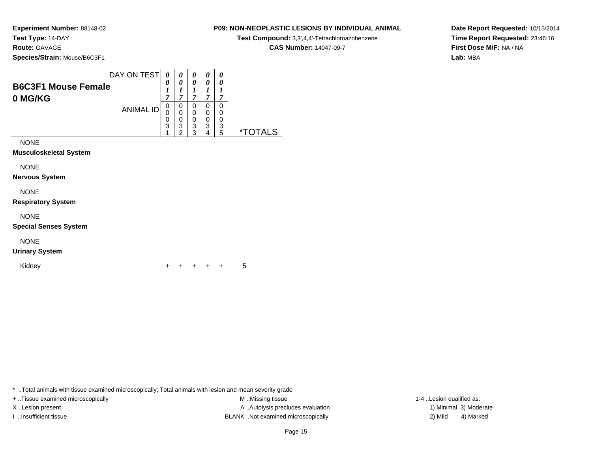**Experiment Number:** 88148-02**Test Type:** 14-DAY**Route:** GAVAGE

**Species/Strain:** Mouse/B6C3F1

|                            | DAY ON TEST      |   | 0 |                       | 0 | 0 |   |
|----------------------------|------------------|---|---|-----------------------|---|---|---|
| <b>B6C3F1 Mouse Female</b> |                  | 0 | 0 | $\boldsymbol{\theta}$ | 0 | 0 |   |
| 0 MG/KG                    | <b>ANIMAL ID</b> | 7 | − |                       | − | , |   |
|                            |                  | 0 | 0 |                       | 0 | 0 |   |
|                            |                  | 0 | 0 |                       | 0 | 0 |   |
|                            |                  | 0 | 0 |                       | 0 | 0 |   |
|                            |                  | 3 | 3 | 3                     | 3 | 3 |   |
|                            |                  |   | ີ | っ                     | 4 | 5 | × |

NONE

**Musculoskeletal System**

NONE

**Nervous System**

NONE

**Respiratory System**

NONE

**Special Senses System**

NONE

**Urinary System**

Kidney

 $\mathsf y$ <sup>+</sup> <sup>+</sup> <sup>+</sup> + 5

\* ..Total animals with tissue examined microscopically; Total animals with lesion and mean severity grade

+ ..Tissue examined microscopically examined microscopically examined as:  $M$  ..Missing tissue 1-4 ..Lesion qualified as: X..Lesion present **A ..Autolysis precludes evaluation** A ..Autolysis precludes evaluation 1) Minimal 3) Moderate I ..Insufficient tissue BLANK ..Not examined microscopically 2) Mild 4) Marked

#### Page 15

**Date Report Requested:** 10/15/2014**Time Report Requested:** 23:46:16**First Dose M/F:** NA / NA**Lab:** MBA

#### **P09: NON-NEOPLASTIC LESIONS BY INDIVIDUAL ANIMAL**

**Test Compound:** 3,3',4,4'-Tetrachloroazobenzene

**CAS Number:** 14047-09-7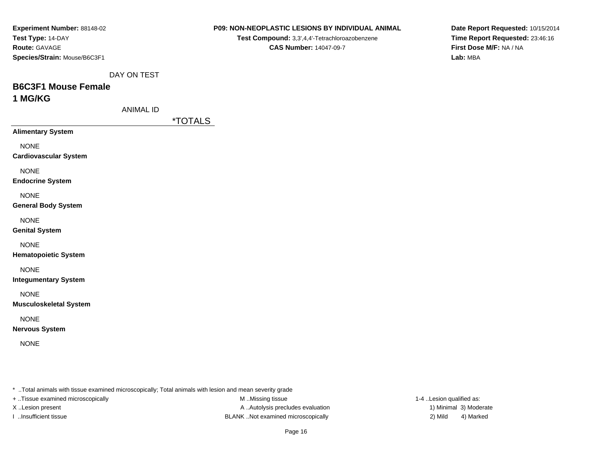| Experiment Number: 88148-02                                                                             | P09: NON-NEOPLASTIC LESIONS BY INDIVIDUAL ANIMAL | Date Report F            |
|---------------------------------------------------------------------------------------------------------|--------------------------------------------------|--------------------------|
| Test Type: 14-DAY                                                                                       | Test Compound: 3,3',4,4'-Tetrachloroazobenzene   | Time Report I            |
| Route: GAVAGE                                                                                           | <b>CAS Number: 14047-09-7</b>                    | <b>First Dose M/</b>     |
| Species/Strain: Mouse/B6C3F1                                                                            |                                                  | Lab: MBA                 |
| DAY ON TEST                                                                                             |                                                  |                          |
| <b>B6C3F1 Mouse Female</b>                                                                              |                                                  |                          |
| 1 MG/KG                                                                                                 |                                                  |                          |
| <b>ANIMAL ID</b>                                                                                        |                                                  |                          |
|                                                                                                         | <i><b>*TOTALS</b></i>                            |                          |
| <b>Alimentary System</b>                                                                                |                                                  |                          |
| <b>NONE</b>                                                                                             |                                                  |                          |
| <b>Cardiovascular System</b>                                                                            |                                                  |                          |
| <b>NONE</b>                                                                                             |                                                  |                          |
| <b>Endocrine System</b>                                                                                 |                                                  |                          |
| <b>NONE</b>                                                                                             |                                                  |                          |
| <b>General Body System</b>                                                                              |                                                  |                          |
| <b>NONE</b>                                                                                             |                                                  |                          |
| <b>Genital System</b>                                                                                   |                                                  |                          |
| <b>NONE</b>                                                                                             |                                                  |                          |
| <b>Hematopoietic System</b>                                                                             |                                                  |                          |
| <b>NONE</b>                                                                                             |                                                  |                          |
| <b>Integumentary System</b>                                                                             |                                                  |                          |
| <b>NONE</b>                                                                                             |                                                  |                          |
| <b>Musculoskeletal System</b>                                                                           |                                                  |                          |
| <b>NONE</b>                                                                                             |                                                  |                          |
| <b>Nervous System</b>                                                                                   |                                                  |                          |
| <b>NONE</b>                                                                                             |                                                  |                          |
|                                                                                                         |                                                  |                          |
| * Total animals with tissue examined microscopically; Total animals with lesion and mean severity grade |                                                  |                          |
| + Tissue examined microscopically                                                                       | M.Missing tissue                                 | 1-4 Lesion qualified as: |
| X Lesion present                                                                                        | A  Autolysis precludes evaluation                | 1) Minimal 3) Moderate   |

**Date Report Requested:** 10/15/2014**Time Report Requested:** 23:46:16**First Dose M/F:** NA / NA**Lab:** MBA

4) Marked

Page 16

I ..Insufficient tissue 2) Mild ...Insufficient tissue 2) Mild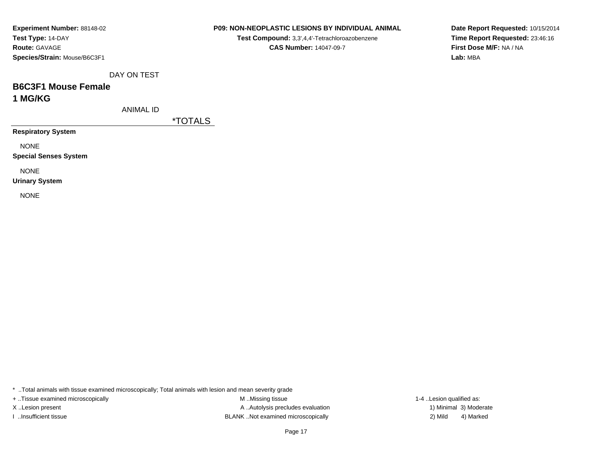| <b>Experiment Number: 88148-02</b> |  |  |  |  |
|------------------------------------|--|--|--|--|
| Test Type: 14-DAY                  |  |  |  |  |
| <b>Route: GAVAGE</b>               |  |  |  |  |
| Species/Strain: Mouse/B6C3F1       |  |  |  |  |

**Test Compound:** 3,3',4,4'-Tetrachloroazobenzene**CAS Number:** 14047-09-7

**Date Report Requested:** 10/15/2014**Time Report Requested:** 23:46:16**First Dose M/F:** NA / NA**Lab:** MBA

DAY ON TEST

# **B6C3F1 Mouse Female1 MG/KG**

ANIMAL ID

\*TOTALS

**Respiratory System**

NONE

**Special Senses System**

NONE

**Urinary System**

NONE

\* ..Total animals with tissue examined microscopically; Total animals with lesion and mean severity grade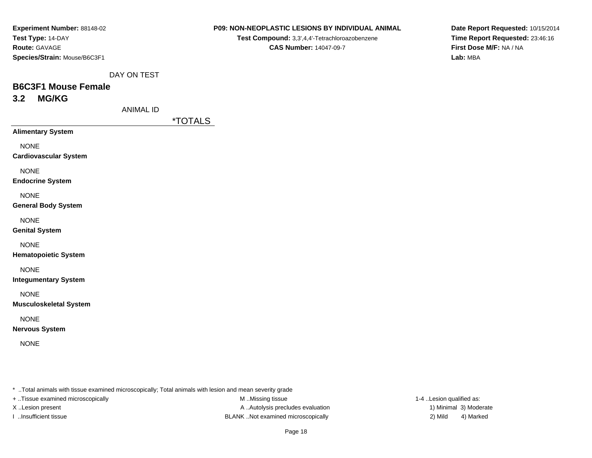| <b>Experiment Number: 88148-02</b> |
|------------------------------------|
| Test Type: 14-DAY                  |
| <b>Route: GAVAGE</b>               |
| Species/Strain: Mouse/B6C3F1       |

**Test Compound:** 3,3',4,4'-Tetrachloroazobenzene**CAS Number:** 14047-09-7

**Date Report Requested:** 10/15/2014**Time Report Requested:** 23:46:16**First Dose M/F:** NA / NA**Lab:** MBA

DAY ON TEST

### **B6C3F1 Mouse Female3.2 MG/KG**

ANIMAL ID

\*TOTALS

**Alimentary System**

NONE

**Cardiovascular System**

NONE

**Endocrine System**

NONE

**General Body System**

NONE

**Genital System**

NONE

**Hematopoietic System**

NONE

**Integumentary System**

NONE

**Musculoskeletal System**

NONE

**Nervous System**

NONE

\* ..Total animals with tissue examined microscopically; Total animals with lesion and mean severity grade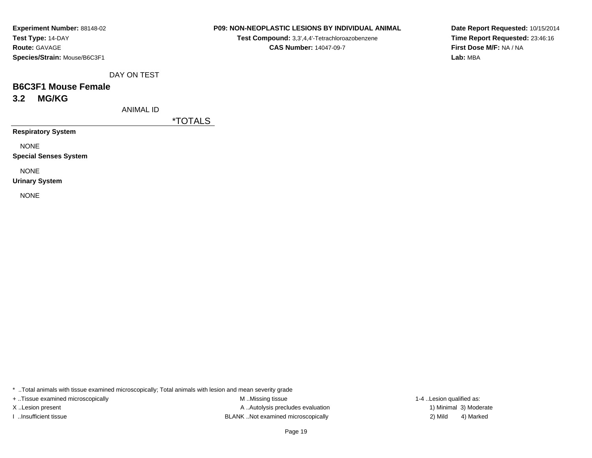#### **P09: NON-NEOPLASTIC LESIONS BY INDIVIDUAL ANIMAL**

**Test Compound:** 3,3',4,4'-Tetrachloroazobenzene**CAS Number:** 14047-09-7

**Date Report Requested:** 10/15/2014**Time Report Requested:** 23:46:16**First Dose M/F:** NA / NA**Lab:** MBA

DAY ON TEST

### **B6C3F1 Mouse Female3.2 MG/KG**

ANIMAL ID

\*TOTALS

**Respiratory System**

NONE

**Special Senses System**

NONE

**Urinary System**

NONE

\* ..Total animals with tissue examined microscopically; Total animals with lesion and mean severity grade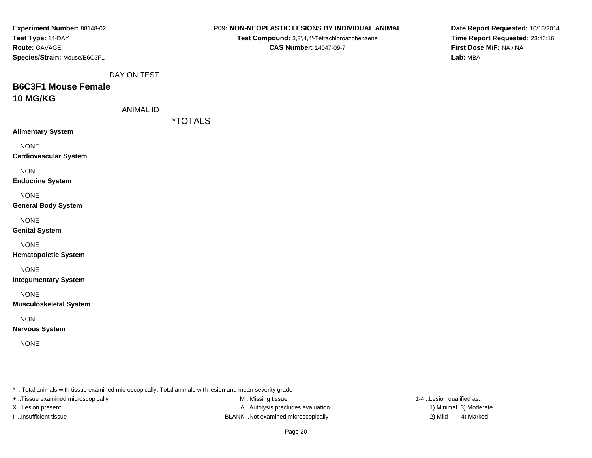| Experiment Number: 88148-02       | P09: NON-NEOPLASTIC LESIONS BY INDIVIDUAL ANIMAL                                                        | Date Report F            |
|-----------------------------------|---------------------------------------------------------------------------------------------------------|--------------------------|
| Test Type: 14-DAY                 | Test Compound: 3,3',4,4'-Tetrachloroazobenzene                                                          | Time Report I            |
| Route: GAVAGE                     | <b>CAS Number: 14047-09-7</b>                                                                           | <b>First Dose M/</b>     |
| Species/Strain: Mouse/B6C3F1      |                                                                                                         | Lab: MBA                 |
| DAY ON TEST                       |                                                                                                         |                          |
| <b>B6C3F1 Mouse Female</b>        |                                                                                                         |                          |
| 10 MG/KG                          |                                                                                                         |                          |
| <b>ANIMAL ID</b>                  |                                                                                                         |                          |
|                                   | <i><b>*TOTALS</b></i>                                                                                   |                          |
| <b>Alimentary System</b>          |                                                                                                         |                          |
| <b>NONE</b>                       |                                                                                                         |                          |
| <b>Cardiovascular System</b>      |                                                                                                         |                          |
| <b>NONE</b>                       |                                                                                                         |                          |
| <b>Endocrine System</b>           |                                                                                                         |                          |
| <b>NONE</b>                       |                                                                                                         |                          |
| <b>General Body System</b>        |                                                                                                         |                          |
| <b>NONE</b>                       |                                                                                                         |                          |
| <b>Genital System</b>             |                                                                                                         |                          |
| <b>NONE</b>                       |                                                                                                         |                          |
| <b>Hematopoietic System</b>       |                                                                                                         |                          |
| <b>NONE</b>                       |                                                                                                         |                          |
| <b>Integumentary System</b>       |                                                                                                         |                          |
| <b>NONE</b>                       |                                                                                                         |                          |
| <b>Musculoskeletal System</b>     |                                                                                                         |                          |
| <b>NONE</b>                       |                                                                                                         |                          |
| <b>Nervous System</b>             |                                                                                                         |                          |
| <b>NONE</b>                       |                                                                                                         |                          |
|                                   |                                                                                                         |                          |
|                                   | * Total animals with tissue examined microscopically; Total animals with lesion and mean severity grade |                          |
| + Tissue examined microscopically | M Missing tissue                                                                                        | 1-4 Lesion qualified as: |
| X Lesion present                  | A Autolysis precludes evaluation                                                                        | 1) Minimal 3) Moderate   |

Page 20

4) Marked

**Date Report Requested:** 10/15/2014**Time Report Requested:** 23:46:16**First Dose M/F:** NA / NA**Lab:** MBA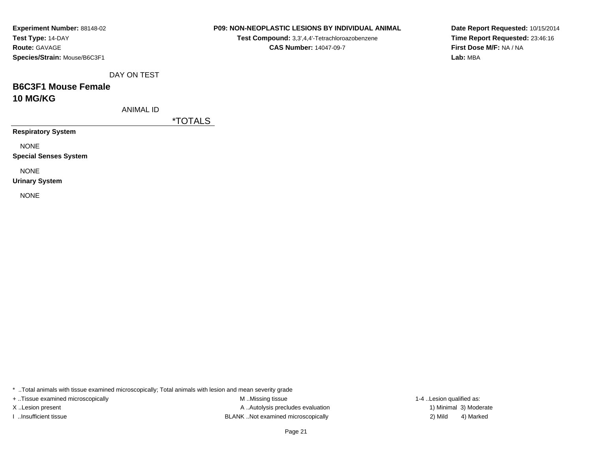| <b>Experiment Number: 88148-02</b> |
|------------------------------------|
| Test Type: 14-DAY                  |
| <b>Route: GAVAGE</b>               |
| Species/Strain: Mouse/B6C3F1       |

**Test Compound:** 3,3',4,4'-Tetrachloroazobenzene**CAS Number:** 14047-09-7

**Date Report Requested:** 10/15/2014**Time Report Requested:** 23:46:16**First Dose M/F:** NA / NA**Lab:** MBA

DAY ON TEST

# **B6C3F1 Mouse Female10 MG/KG**

ANIMAL ID

\*TOTALS

**Respiratory System**

NONE

**Special Senses System**

NONE

**Urinary System**

NONE

\* ..Total animals with tissue examined microscopically; Total animals with lesion and mean severity grade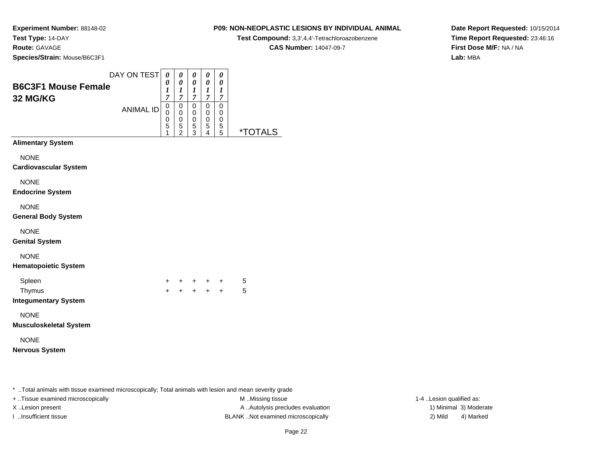#### **P09: NON-NEOPLASTIC LESIONS BY INDIVIDUAL ANIMAL**

**Test Compound:** 3,3',4,4'-Tetrachloroazobenzene

**CAS Number:** 14047-09-7

**Date Report Requested:** 10/15/2014**Time Report Requested:** 23:46:16**First Dose M/F:** NA / NA**Lab:** MBA

|                                                 | DAY ON TEST      | $\boldsymbol{\theta}$                                | 0                                                           | 0                                                           | 0                                                   | 0                                       |                       |  |
|-------------------------------------------------|------------------|------------------------------------------------------|-------------------------------------------------------------|-------------------------------------------------------------|-----------------------------------------------------|-----------------------------------------|-----------------------|--|
| <b>B6C3F1 Mouse Female</b><br><b>32 MG/KG</b>   |                  | 0<br>1<br>$\overline{7}$                             | $\boldsymbol{\theta}$<br>$\boldsymbol{l}$<br>$\overline{7}$ | $\boldsymbol{\theta}$<br>$\boldsymbol{I}$<br>$\overline{7}$ | $\boldsymbol{\theta}$<br>$\bm{l}$<br>$\overline{7}$ | 0<br>$\boldsymbol{l}$<br>$\overline{7}$ |                       |  |
|                                                 | <b>ANIMAL ID</b> | 0<br>0<br>$\begin{array}{c} 0 \\ 5 \end{array}$<br>1 | 0<br>$\pmb{0}$<br>$\pmb{0}$<br>$\frac{5}{2}$                | 0<br>0<br>$\pmb{0}$<br>5<br>3                               | 0<br>0<br>$\pmb{0}$<br>5<br>4                       | 0<br>0<br>$\pmb{0}$<br>5<br>5           | <i><b>*TOTALS</b></i> |  |
| <b>Alimentary System</b>                        |                  |                                                      |                                                             |                                                             |                                                     |                                         |                       |  |
| <b>NONE</b><br><b>Cardiovascular System</b>     |                  |                                                      |                                                             |                                                             |                                                     |                                         |                       |  |
| <b>NONE</b><br><b>Endocrine System</b>          |                  |                                                      |                                                             |                                                             |                                                     |                                         |                       |  |
| <b>NONE</b><br><b>General Body System</b>       |                  |                                                      |                                                             |                                                             |                                                     |                                         |                       |  |
| <b>NONE</b><br><b>Genital System</b>            |                  |                                                      |                                                             |                                                             |                                                     |                                         |                       |  |
| <b>NONE</b><br><b>Hematopoietic System</b>      |                  |                                                      |                                                             |                                                             |                                                     |                                         |                       |  |
| Spleen<br>Thymus<br><b>Integumentary System</b> |                  | $+$<br>$+$                                           |                                                             |                                                             | $+ + + +$                                           | + + + +                                 | 5<br>5                |  |
| <b>NONE</b><br>Musculoskeletal System           |                  |                                                      |                                                             |                                                             |                                                     |                                         |                       |  |
| <b>NONE</b><br>Nervous System                   |                  |                                                      |                                                             |                                                             |                                                     |                                         |                       |  |
|                                                 |                  |                                                      |                                                             |                                                             |                                                     |                                         |                       |  |

\* ..Total animals with tissue examined microscopically; Total animals with lesion and mean severity grade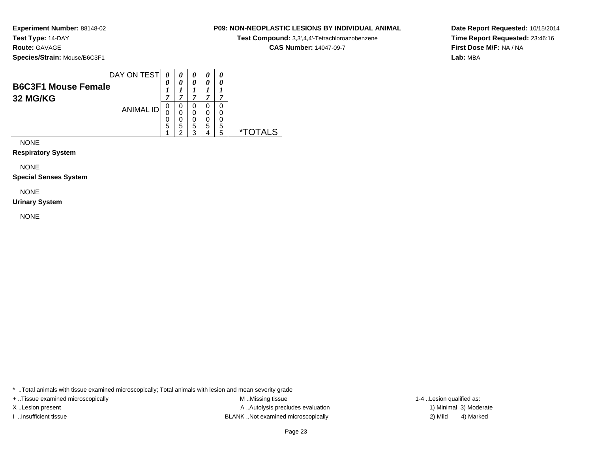#### **P09: NON-NEOPLASTIC LESIONS BY INDIVIDUAL ANIMAL**

**Test Compound:** 3,3',4,4'-Tetrachloroazobenzene

**CAS Number:** 14047-09-7

**Date Report Requested:** 10/15/2014**Time Report Requested:** 23:46:16**First Dose M/F:** NA / NA**Lab:** MBA

|                                        | DAY ON TEST      |             |        |        | 0      | 0           |  |
|----------------------------------------|------------------|-------------|--------|--------|--------|-------------|--|
| <b>B6C3F1 Mouse Female</b><br>32 MG/KG |                  | 0<br>−      | 0      | 0<br>, | 0<br>− | 0<br>−      |  |
|                                        | <b>ANIMAL ID</b> | 0<br>0<br>C |        |        |        | 0<br>0<br>0 |  |
|                                        |                  | 5           | 5<br>ົ | 5<br>◠ | 5      | 5<br>5      |  |

NONE

**Respiratory System**

NONE

**Special Senses System**

NONE

**Urinary System**

NONE

\* ..Total animals with tissue examined microscopically; Total animals with lesion and mean severity grade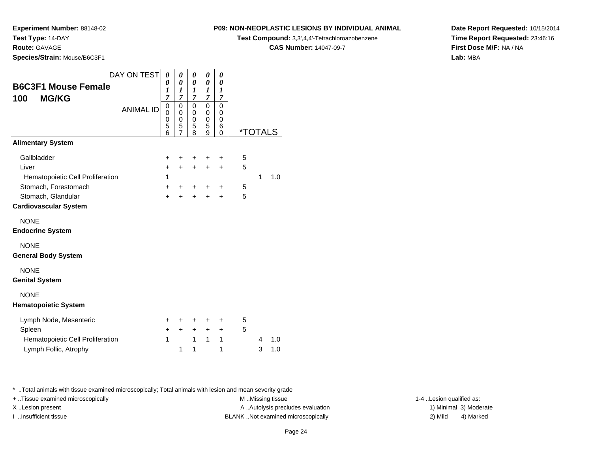**Route:** GAVAGE

**Species/Strain:** Mouse/B6C3F1

#### **P09: NON-NEOPLASTIC LESIONS BY INDIVIDUAL ANIMAL**

**Test Compound:** 3,3',4,4'-Tetrachloroazobenzene

**CAS Number:** 14047-09-7

**Date Report Requested:** 10/15/2014**Time Report Requested:** 23:46:16**First Dose M/F:** NA / NA**Lab:** MBA

| <b>B6C3F1 Mouse Female</b><br><b>MG/KG</b><br>100 | DAY ON TEST<br><b>ANIMAL ID</b> | 0<br>0<br>1<br>$\overline{7}$<br>0<br>0<br>0<br>5 | 0<br>0<br>1<br>$\overline{7}$<br>$\mathbf 0$<br>0<br>0<br>5 | 0<br>0<br>1<br>$\overline{7}$<br>$\mathbf 0$<br>0<br>0<br>5 | 0<br>0<br>$\boldsymbol{l}$<br>$\overline{7}$<br>$\mathbf 0$<br>0<br>0<br>5 | 0<br>0<br>$\boldsymbol{l}$<br>7<br>0<br>0<br>$\mathbf 0$<br>6 |                       |   |     |
|---------------------------------------------------|---------------------------------|---------------------------------------------------|-------------------------------------------------------------|-------------------------------------------------------------|----------------------------------------------------------------------------|---------------------------------------------------------------|-----------------------|---|-----|
|                                                   |                                 | 6                                                 | $\overline{7}$                                              | 8                                                           | 9                                                                          | 0                                                             | <i><b>*TOTALS</b></i> |   |     |
| <b>Alimentary System</b>                          |                                 |                                                   |                                                             |                                                             |                                                                            |                                                               |                       |   |     |
| Gallbladder                                       |                                 | +                                                 | +                                                           | +                                                           | +                                                                          | +                                                             | 5                     |   |     |
| Liver                                             |                                 | $\ddot{}$                                         | $+$                                                         | $\ddot{}$                                                   | $\ddot{}$                                                                  | $\ddot{}$                                                     | 5                     |   |     |
| Hematopoietic Cell Proliferation                  |                                 | 1                                                 |                                                             |                                                             |                                                                            |                                                               |                       | 1 | 1.0 |
| Stomach, Forestomach                              |                                 | $\ddot{}$                                         | +                                                           | +                                                           | +                                                                          | $\ddot{}$                                                     | 5                     |   |     |
| Stomach, Glandular                                |                                 | $\ddot{}$                                         | $\ddot{}$                                                   | $\ddot{}$                                                   | $\ddot{}$                                                                  | $\div$                                                        | 5                     |   |     |
| <b>Cardiovascular System</b>                      |                                 |                                                   |                                                             |                                                             |                                                                            |                                                               |                       |   |     |
| <b>NONE</b><br><b>Endocrine System</b>            |                                 |                                                   |                                                             |                                                             |                                                                            |                                                               |                       |   |     |
| <b>NONE</b><br><b>General Body System</b>         |                                 |                                                   |                                                             |                                                             |                                                                            |                                                               |                       |   |     |
| <b>NONE</b><br><b>Genital System</b>              |                                 |                                                   |                                                             |                                                             |                                                                            |                                                               |                       |   |     |
| <b>NONE</b><br><b>Hematopoietic System</b>        |                                 |                                                   |                                                             |                                                             |                                                                            |                                                               |                       |   |     |
| Lymph Node, Mesenteric                            |                                 | +                                                 |                                                             | +                                                           | +                                                                          | +                                                             | 5                     |   |     |
| Spleen                                            |                                 | +                                                 | $\ddot{}$                                                   | $\ddot{}$                                                   | $\ddot{}$                                                                  | $\ddot{}$                                                     | 5                     |   |     |
| Hematopoietic Cell Proliferation                  |                                 | 1                                                 |                                                             | $\mathbf{1}$                                                | $\mathbf{1}$                                                               | 1                                                             |                       | 4 | 1.0 |
| Lymph Follic, Atrophy                             |                                 |                                                   | 1                                                           | 1                                                           |                                                                            | 1                                                             |                       | 3 | 1.0 |

\* ..Total animals with tissue examined microscopically; Total animals with lesion and mean severity grade